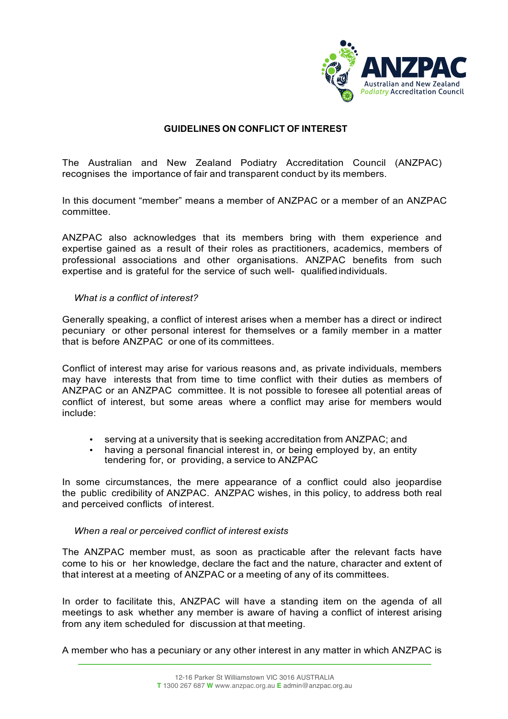

# **GUIDELINES ON CONFLICT OF INTEREST**

The Australian and New Zealand Podiatry Accreditation Council (ANZPAC) recognises the importance of fair and transparent conduct by its members.

In this document "member" means a member of ANZPAC or a member of an ANZPAC committee.

ANZPAC also acknowledges that its members bring with them experience and expertise gained as a result of their roles as practitioners, academics, members of professional associations and other organisations. ANZPAC benefits from such expertise and is grateful for the service of such well- qualifiedindividuals.

## *What is a conflict of interest?*

Generally speaking, a conflict of interest arises when a member has a direct or indirect pecuniary or other personal interest for themselves or a family member in a matter that is before ANZPAC or one of its committees.

Conflict of interest may arise for various reasons and, as private individuals, members may have interests that from time to time conflict with their duties as members of ANZPAC or an ANZPAC committee. It is not possible to foresee all potential areas of conflict of interest, but some areas where a conflict may arise for members would include:

- serving at a university that is seeking accreditation from ANZPAC; and
- having a personal financial interest in, or being employed by, an entity tendering for, or providing, a service to ANZPAC

In some circumstances, the mere appearance of a conflict could also jeopardise the public credibility of ANZPAC. ANZPAC wishes, in this policy, to address both real and perceived conflicts of interest.

## *When a real or perceived conflict of interest exists*

The ANZPAC member must, as soon as practicable after the relevant facts have come to his or her knowledge, declare the fact and the nature, character and extent of that interest at a meeting of ANZPAC or a meeting of any of its committees.

In order to facilitate this, ANZPAC will have a standing item on the agenda of all meetings to ask whether any member is aware of having a conflict of interest arising from any item scheduled for discussion at that meeting.

 $\_$  . The contribution of the contribution of the contribution of the contribution of  $\mathcal{L}_\text{max}$ A member who has a pecuniary or any other interest in any matter in which ANZPAC is